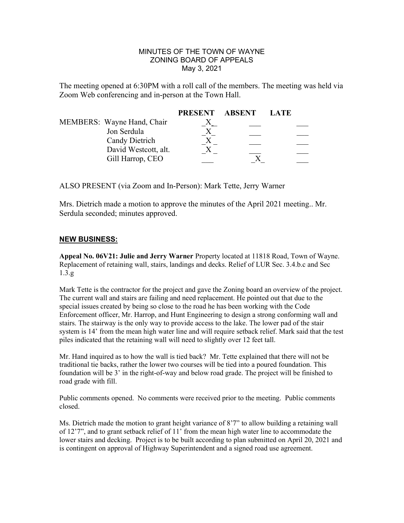#### MINUTES OF THE TOWN OF WAYNE ZONING BOARD OF APPEALS May 3, 2021

The meeting opened at 6:30PM with a roll call of the members. The meeting was held via Zoom Web conferencing and in-person at the Town Hall.

|                            | PRESENT ABSENT | LATE |
|----------------------------|----------------|------|
| MEMBERS: Wayne Hand, Chair |                |      |
| Jon Serdula                |                |      |
| Candy Dietrich             |                |      |
| David Westcott, alt.       |                |      |
| Gill Harrop, CEO           |                |      |

ALSO PRESENT (via Zoom and In-Person): Mark Tette, Jerry Warner

Mrs. Dietrich made a motion to approve the minutes of the April 2021 meeting.. Mr. Serdula seconded; minutes approved.

#### NEW BUSINESS:

Appeal No. 06V21: Julie and Jerry Warner Property located at 11818 Road, Town of Wayne. Replacement of retaining wall, stairs, landings and decks. Relief of LUR Sec. 3.4.b.c and Sec 1.3.g

Mark Tette is the contractor for the project and gave the Zoning board an overview of the project. The current wall and stairs are failing and need replacement. He pointed out that due to the special issues created by being so close to the road he has been working with the Code Enforcement officer, Mr. Harrop, and Hunt Engineering to design a strong conforming wall and stairs. The stairway is the only way to provide access to the lake. The lower pad of the stair system is 14' from the mean high water line and will require setback relief. Mark said that the test piles indicated that the retaining wall will need to slightly over 12 feet tall.

Mr. Hand inquired as to how the wall is tied back? Mr. Tette explained that there will not be traditional tie backs, rather the lower two courses will be tied into a poured foundation. This foundation will be 3' in the right-of-way and below road grade. The project will be finished to road grade with fill.

Public comments opened. No comments were received prior to the meeting. Public comments closed.

Ms. Dietrich made the motion to grant height variance of 8'7" to allow building a retaining wall of 12'7", and to grant setback relief of 11' from the mean high water line to accommodate the lower stairs and decking. Project is to be built according to plan submitted on April 20, 2021 and is contingent on approval of Highway Superintendent and a signed road use agreement.